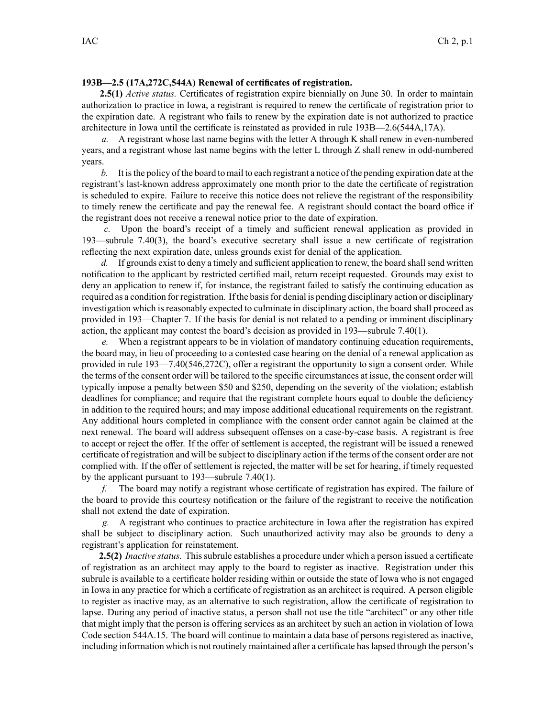## **193B—2.5 (17A,272C,544A) Renewal of certificates of registration.**

**2.5(1)** *Active status.* Certificates of registration expire biennially on June 30. In order to maintain authorization to practice in Iowa, <sup>a</sup> registrant is required to renew the certificate of registration prior to the expiration date. A registrant who fails to renew by the expiration date is not authorized to practice architecture in Iowa until the certificate is reinstated as provided in rule 193B—2.6(544A,17A).

*a.* A registrant whose last name begins with the letter A through K shall renew in even-numbered years, and <sup>a</sup> registrant whose last name begins with the letter L through Z shall renew in odd-numbered years.

*b.* It isthe policy of the board to mail to each registrant <sup>a</sup> notice of the pending expiration date at the registrant's last-known address approximately one month prior to the date the certificate of registration is scheduled to expire. Failure to receive this notice does not relieve the registrant of the responsibility to timely renew the certificate and pay the renewal fee. A registrant should contact the board office if the registrant does not receive <sup>a</sup> renewal notice prior to the date of expiration.

*c.* Upon the board's receipt of <sup>a</sup> timely and sufficient renewal application as provided in 193—subrule 7.40(3), the board's executive secretary shall issue <sup>a</sup> new certificate of registration reflecting the next expiration date, unless grounds exist for denial of the application.

*d.* If grounds exist to deny a timely and sufficient application to renew, the board shall send written notification to the applicant by restricted certified mail, return receipt requested. Grounds may exist to deny an application to renew if, for instance, the registrant failed to satisfy the continuing education as required as <sup>a</sup> condition for registration. If the basisfor denial is pending disciplinary action or disciplinary investigation which is reasonably expected to culminate in disciplinary action, the board shall proceed as provided in 193—Chapter 7. If the basis for denial is not related to <sup>a</sup> pending or imminent disciplinary action, the applicant may contest the board's decision as provided in 193—subrule 7.40(1).

*e.* When <sup>a</sup> registrant appears to be in violation of mandatory continuing education requirements, the board may, in lieu of proceeding to <sup>a</sup> contested case hearing on the denial of <sup>a</sup> renewal application as provided in rule 193—7.40(546,272C), offer <sup>a</sup> registrant the opportunity to sign <sup>a</sup> consent order. While the terms of the consent order will be tailored to the specific circumstances at issue, the consent order will typically impose <sup>a</sup> penalty between \$50 and \$250, depending on the severity of the violation; establish deadlines for compliance; and require that the registrant complete hours equal to double the deficiency in addition to the required hours; and may impose additional educational requirements on the registrant. Any additional hours completed in compliance with the consent order cannot again be claimed at the next renewal. The board will address subsequent offenses on <sup>a</sup> case-by-case basis. A registrant is free to accep<sup>t</sup> or reject the offer. If the offer of settlement is accepted, the registrant will be issued <sup>a</sup> renewed certificate of registration and will be subject to disciplinary action if the terms of the consent order are not complied with. If the offer of settlement is rejected, the matter will be set for hearing, if timely requested by the applicant pursuan<sup>t</sup> to 193—subrule 7.40(1).

*f.* The board may notify <sup>a</sup> registrant whose certificate of registration has expired. The failure of the board to provide this courtesy notification or the failure of the registrant to receive the notification shall not extend the date of expiration.

*g.* A registrant who continues to practice architecture in Iowa after the registration has expired shall be subject to disciplinary action. Such unauthorized activity may also be grounds to deny <sup>a</sup> registrant's application for reinstatement.

**2.5(2)** *Inactive status.* This subrule establishes <sup>a</sup> procedure under which <sup>a</sup> person issued <sup>a</sup> certificate of registration as an architect may apply to the board to register as inactive. Registration under this subrule is available to <sup>a</sup> certificate holder residing within or outside the state of Iowa who is not engaged in Iowa in any practice for which <sup>a</sup> certificate of registration as an architect is required. A person eligible to register as inactive may, as an alternative to such registration, allow the certificate of registration to lapse. During any period of inactive status, <sup>a</sup> person shall not use the title "architect" or any other title that might imply that the person is offering services as an architect by such an action in violation of Iowa Code section 544A.15. The board will continue to maintain <sup>a</sup> data base of persons registered as inactive, including information which is not routinely maintained after <sup>a</sup> certificate haslapsed through the person's